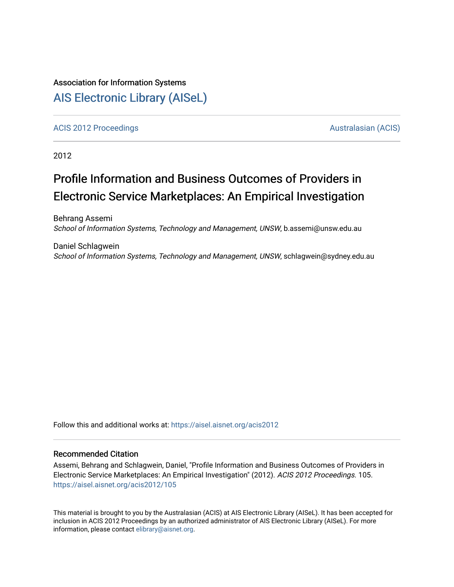# Association for Information Systems [AIS Electronic Library \(AISeL\)](https://aisel.aisnet.org/)

[ACIS 2012 Proceedings](https://aisel.aisnet.org/acis2012) [Australasian \(ACIS\)](https://aisel.aisnet.org/acis) Australasian (ACIS)

2012

# Profile Information and Business Outcomes of Providers in Electronic Service Marketplaces: An Empirical Investigation

Behrang Assemi School of Information Systems, Technology and Management, UNSW, b.assemi@unsw.edu.au

Daniel Schlagwein School of Information Systems, Technology and Management, UNSW, schlagwein@sydney.edu.au

Follow this and additional works at: [https://aisel.aisnet.org/acis2012](https://aisel.aisnet.org/acis2012?utm_source=aisel.aisnet.org%2Facis2012%2F105&utm_medium=PDF&utm_campaign=PDFCoverPages) 

### Recommended Citation

Assemi, Behrang and Schlagwein, Daniel, "Profile Information and Business Outcomes of Providers in Electronic Service Marketplaces: An Empirical Investigation" (2012). ACIS 2012 Proceedings. 105. [https://aisel.aisnet.org/acis2012/105](https://aisel.aisnet.org/acis2012/105?utm_source=aisel.aisnet.org%2Facis2012%2F105&utm_medium=PDF&utm_campaign=PDFCoverPages) 

This material is brought to you by the Australasian (ACIS) at AIS Electronic Library (AISeL). It has been accepted for inclusion in ACIS 2012 Proceedings by an authorized administrator of AIS Electronic Library (AISeL). For more information, please contact [elibrary@aisnet.org.](mailto:elibrary@aisnet.org%3E)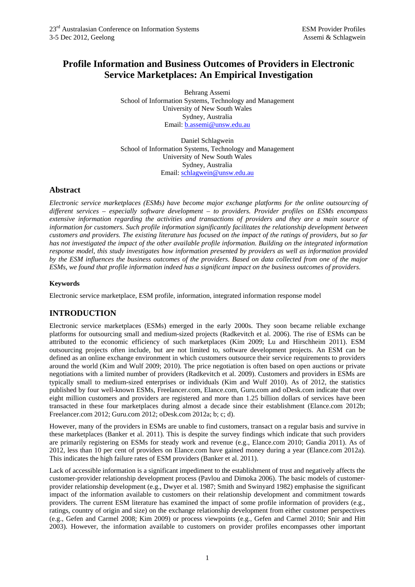# **Profile Information and Business Outcomes of Providers in Electronic Service Marketplaces: An Empirical Investigation**

Behrang Assemi School of Information Systems, Technology and Management University of New South Wales Sydney, Australia Email: b.assemi@unsw.edu.au

Daniel Schlagwein School of Information Systems, Technology and Management University of New South Wales Sydney, Australia Email: schlagwein@unsw.edu.au

### **Abstract**

*Electronic service marketplaces (ESMs) have become major exchange platforms for the online outsourcing of different services – especially software development – to providers. Provider profiles on ESMs encompass extensive information regarding the activities and transactions of providers and they are a main source of information for customers. Such profile information significantly facilitates the relationship development between customers and providers. The existing literature has focused on the impact of the ratings of providers, but so far has not investigated the impact of the other available profile information. Building on the integrated information response model, this study investigates how information presented by providers as well as information provided by the ESM influences the business outcomes of the providers. Based on data collected from one of the major ESMs, we found that profile information indeed has a significant impact on the business outcomes of providers.* 

#### **Keywords**

Electronic service marketplace, ESM profile, information, integrated information response model

# **INTRODUCTION**

Electronic service marketplaces (ESMs) emerged in the early 2000s. They soon became reliable exchange platforms for outsourcing small and medium-sized projects (Radkevitch et al. 2006). The rise of ESMs can be attributed to the economic efficiency of such marketplaces (Kim 2009; Lu and Hirschheim 2011). ESM outsourcing projects often include, but are not limited to, software development projects. An ESM can be defined as an online exchange environment in which customers outsource their service requirements to providers around the world (Kim and Wulf 2009; 2010). The price negotiation is often based on open auctions or private negotiations with a limited number of providers (Radkevitch et al. 2009). Customers and providers in ESMs are typically small to medium-sized enterprises or individuals (Kim and Wulf 2010). As of 2012, the statistics published by four well-known ESMs, Freelancer.com, Elance.com, Guru.com and oDesk.com indicate that over eight million customers and providers are registered and more than 1.25 billion dollars of services have been transacted in these four marketplaces during almost a decade since their establishment (Elance.com 2012b; Freelancer.com 2012; Guru.com 2012; oDesk.com 2012a; b; c; d).

However, many of the providers in ESMs are unable to find customers, transact on a regular basis and survive in these marketplaces (Banker et al. 2011). This is despite the survey findings which indicate that such providers are primarily registering on ESMs for steady work and revenue (e.g., Elance.com 2010; Gandia 2011). As of 2012, less than 10 per cent of providers on Elance.com have gained money during a year (Elance.com 2012a). This indicates the high failure rates of ESM providers (Banker et al. 2011).

Lack of accessible information is a significant impediment to the establishment of trust and negatively affects the customer-provider relationship development process (Pavlou and Dimoka 2006). The basic models of customerprovider relationship development (e.g., Dwyer et al. 1987; Smith and Swinyard 1982) emphasise the significant impact of the information available to customers on their relationship development and commitment towards providers. The current ESM literature has examined the impact of some profile information of providers (e.g., ratings, country of origin and size) on the exchange relationship development from either customer perspectives (e.g., Gefen and Carmel 2008; Kim 2009) or process viewpoints (e.g., Gefen and Carmel 2010; Snir and Hitt 2003). However, the information available to customers on provider profiles encompasses other important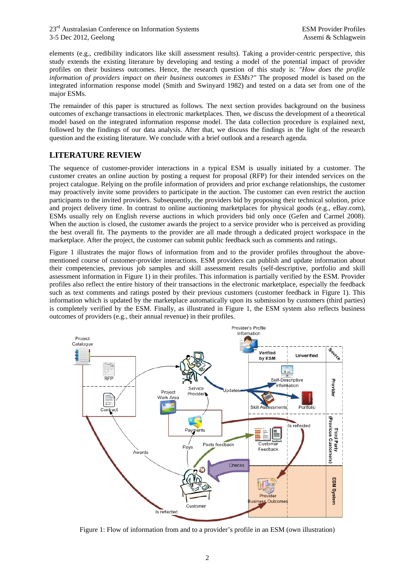elements (e.g., credibility indicators like skill assessment results). Taking a provider-centric perspective, this study extends the existing literature by developing and testing a model of the potential impact of provider profiles on their business outcomes. Hence, the research question of this study is: *"How does the profile information of providers impact on their business outcomes in ESMs?"* The proposed model is based on the integrated information response model (Smith and Swinyard 1982) and tested on a data set from one of the major ESMs.

The remainder of this paper is structured as follows. The next section provides background on the business outcomes of exchange transactions in electronic marketplaces. Then, we discuss the development of a theoretical model based on the integrated information response model. The data collection procedure is explained next, followed by the findings of our data analysis. After that, we discuss the findings in the light of the research question and the existing literature. We conclude with a brief outlook and a research agenda.

# **LITERATURE REVIEW**

The sequence of customer-provider interactions in a typical ESM is usually initiated by a customer. The customer creates an online auction by posting a request for proposal (RFP) for their intended services on the project catalogue. Relying on the profile information of providers and prior exchange relationships, the customer may proactively invite some providers to participate in the auction. The customer can even restrict the auction participants to the invited providers. Subsequently, the providers bid by proposing their technical solution, price and project delivery time. In contrast to online auctioning marketplaces for physical goods (e.g., eBay.com), ESMs usually rely on English reverse auctions in which providers bid only once (Gefen and Carmel 2008). When the auction is closed, the customer awards the project to a service provider who is perceived as providing the best overall fit. The payments to the provider are all made through a dedicated project workspace in the marketplace. After the project, the customer can submit public feedback such as comments and ratings.

Figure 1 illustrates the major flows of information from and to the provider profiles throughout the abovementioned course of customer-provider interactions. ESM providers can publish and update information about their competencies, previous job samples and skill assessment results (self-descriptive, portfolio and skill assessment information in Figure 1) in their profiles. This information is partially verified by the ESM. Provider profiles also reflect the entire history of their transactions in the electronic marketplace, especially the feedback such as text comments and ratings posted by their previous customers (customer feedback in Figure 1). This information which is updated by the marketplace automatically upon its submission by customers (third parties) is completely verified by the ESM. Finally, as illustrated in Figure 1, the ESM system also reflects business outcomes of providers (e.g., their annual revenue) in their profiles.



Figure 1: Flow of information from and to a provider's profile in an ESM (own illustration)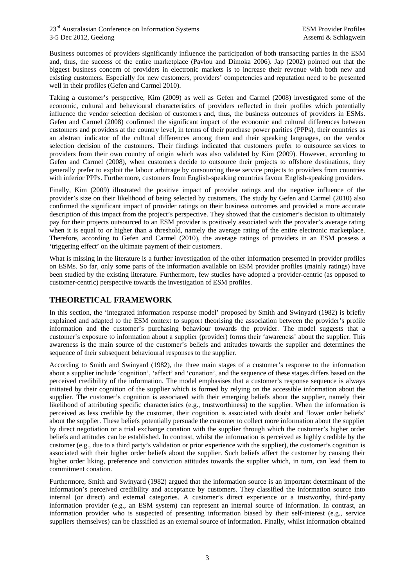Business outcomes of providers significantly influence the participation of both transacting parties in the ESM and, thus, the success of the entire marketplace (Pavlou and Dimoka 2006). Jap (2002) pointed out that the biggest business concern of providers in electronic markets is to increase their revenue with both new and existing customers. Especially for new customers, providers' competencies and reputation need to be presented well in their profiles (Gefen and Carmel 2010).

Taking a customer's perspective, Kim (2009) as well as Gefen and Carmel (2008) investigated some of the economic, cultural and behavioural characteristics of providers reflected in their profiles which potentially influence the vendor selection decision of customers and, thus, the business outcomes of providers in ESMs. Gefen and Carmel (2008) confirmed the significant impact of the economic and cultural differences between customers and providers at the country level, in terms of their purchase power parities (PPPs), their countries as an abstract indicator of the cultural differences among them and their speaking languages, on the vendor selection decision of the customers. Their findings indicated that customers prefer to outsource services to providers from their own country of origin which was also validated by Kim (2009). However, according to Gefen and Carmel (2008), when customers decide to outsource their projects to offshore destinations, they generally prefer to exploit the labour arbitrage by outsourcing these service projects to providers from countries with inferior PPPs. Furthermore, customers from English-speaking countries favour English-speaking providers.

Finally, Kim (2009) illustrated the positive impact of provider ratings and the negative influence of the provider's size on their likelihood of being selected by customers. The study by Gefen and Carmel (2010) also confirmed the significant impact of provider ratings on their business outcomes and provided a more accurate description of this impact from the project's perspective. They showed that the customer's decision to ultimately pay for their projects outsourced to an ESM provider is positively associated with the provider's average rating when it is equal to or higher than a threshold, namely the average rating of the entire electronic marketplace. Therefore, according to Gefen and Carmel (2010), the average ratings of providers in an ESM possess a 'triggering effect' on the ultimate payment of their customers.

What is missing in the literature is a further investigation of the other information presented in provider profiles on ESMs. So far, only some parts of the information available on ESM provider profiles (mainly ratings) have been studied by the existing literature. Furthermore, few studies have adopted a provider-centric (as opposed to customer-centric) perspective towards the investigation of ESM profiles.

# **THEORETICAL FRAMEWORK**

In this section, the 'integrated information response model' proposed by Smith and Swinyard (1982) is briefly explained and adapted to the ESM context to support theorising the association between the provider's profile information and the customer's purchasing behaviour towards the provider. The model suggests that a customer's exposure to information about a supplier (provider) forms their 'awareness' about the supplier. This awareness is the main source of the customer's beliefs and attitudes towards the supplier and determines the sequence of their subsequent behavioural responses to the supplier.

According to Smith and Swinyard (1982), the three main stages of a customer's response to the information about a supplier include 'cognition', 'affect' and 'conation', and the sequence of these stages differs based on the perceived credibility of the information. The model emphasises that a customer's response sequence is always initiated by their cognition of the supplier which is formed by relying on the accessible information about the supplier. The customer's cognition is associated with their emerging beliefs about the supplier, namely their likelihood of attributing specific characteristics (e.g., trustworthiness) to the supplier. When the information is perceived as less credible by the customer, their cognition is associated with doubt and 'lower order beliefs' about the supplier. These beliefs potentially persuade the customer to collect more information about the supplier by direct negotiation or a trial exchange conation with the supplier through which the customer's higher order beliefs and attitudes can be established. In contrast, whilst the information is perceived as highly credible by the customer (e.g., due to a third party's validation or prior experience with the supplier), the customer's cognition is associated with their higher order beliefs about the supplier. Such beliefs affect the customer by causing their higher order liking, preference and conviction attitudes towards the supplier which, in turn, can lead them to commitment conation.

Furthermore, Smith and Swinyard (1982) argued that the information source is an important determinant of the information's perceived credibility and acceptance by customers. They classified the information source into internal (or direct) and external categories. A customer's direct experience or a trustworthy, third-party information provider (e.g., an ESM system) can represent an internal source of information. In contrast, an information provider who is suspected of presenting information biased by their self-interest (e.g., service suppliers themselves) can be classified as an external source of information. Finally, whilst information obtained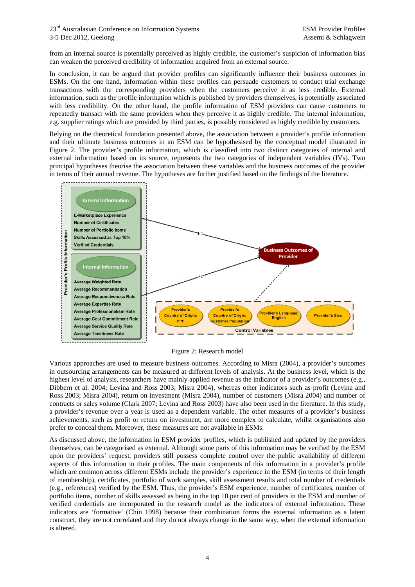from an internal source is potentially perceived as highly credible, the customer's suspicion of information bias can weaken the perceived credibility of information acquired from an external source.

In conclusion, it can be argued that provider profiles can significantly influence their business outcomes in ESMs. On the one hand, information within these profiles can persuade customers to conduct trial exchange transactions with the corresponding providers when the customers perceive it as less credible. External information, such as the profile information which is published by providers themselves, is potentially associated with less credibility. On the other hand, the profile information of ESM providers can cause customers to repeatedly transact with the same providers when they perceive it as highly credible. The internal information, e.g. supplier ratings which are provided by third parties, is possibly considered as highly credible by customers.

Relying on the theoretical foundation presented above, the association between a provider's profile information and their ultimate business outcomes in an ESM can be hypothesised by the conceptual model illustrated in Figure 2. The provider's profile information, which is classified into two distinct categories of internal and external information based on its source, represents the two categories of independent variables (IVs). Two principal hypotheses theorise the association between these variables and the business outcomes of the provider in terms of their annual revenue. The hypotheses are further justified based on the findings of the literature.



Figure 2: Research model

Various approaches are used to measure business outcomes. According to Misra (2004), a provider's outcomes in outsourcing arrangements can be measured at different levels of analysis. At the business level, which is the highest level of analysis, researchers have mainly applied revenue as the indicator of a provider's outcomes (e.g., Dibbern et al. 2004; Levina and Ross 2003; Misra 2004), whereas other indicators such as profit (Levina and Ross 2003; Misra 2004), return on investment (Misra 2004), number of customers (Misra 2004) and number of contracts or sales volume (Clark 2007; Levina and Ross 2003) have also been used in the literature. In this study, a provider's revenue over a year is used as a dependent variable. The other measures of a provider's business achievements, such as profit or return on investment, are more complex to calculate, whilst organisations also prefer to conceal them. Moreover, these measures are not available in ESMs.

As discussed above, the information in ESM provider profiles, which is published and updated by the providers themselves, can be categorised as external. Although some parts of this information may be verified by the ESM upon the providers' request, providers still possess complete control over the public availability of different aspects of this information in their profiles. The main components of this information in a provider's profile which are common across different ESMs include the provider's experience in the ESM (in terms of their length of membership), certificates, portfolio of work samples, skill assessment results and total number of credentials (e.g., references) verified by the ESM. Thus, the provider's ESM experience, number of certificates, number of portfolio items, number of skills assessed as being in the top 10 per cent of providers in the ESM and number of verified credentials are incorporated in the research model as the indicators of external information. These indicators are 'formative' (Chin 1998) because their combination forms the external information as a latent construct, they are not correlated and they do not always change in the same way, when the external information is altered.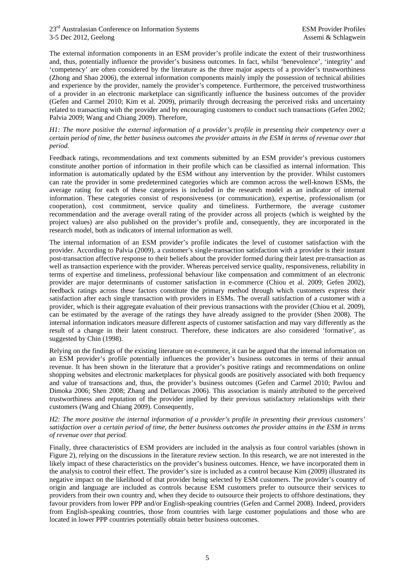The external information components in an ESM provider's profile indicate the extent of their trustworthiness and, thus, potentially influence the provider's business outcomes. In fact, whilst 'benevolence', 'integrity' and 'competency' are often considered by the literature as the three major aspects of a provider's trustworthiness (Zhong and Shao 2006), the external information components mainly imply the possession of technical abilities and experience by the provider, namely the provider's competence. Furthermore, the perceived trustworthiness of a provider in an electronic marketplace can significantly influence the business outcomes of the provider (Gefen and Carmel 2010; Kim et al. 2009), primarily through decreasing the perceived risks and uncertainty related to transacting with the provider and by encouraging customers to conduct such transactions (Gefen 2002; Palvia 2009; Wang and Chiang 2009). Therefore,

#### *H1: The more positive the external information of a provider's profile in presenting their competency over a certain period of time, the better business outcomes the provider attains in the ESM in terms of revenue over that period.*

Feedback ratings, recommendations and text comments submitted by an ESM provider's previous customers constitute another portion of information in their profile which can be classified as internal information. This information is automatically updated by the ESM without any intervention by the provider. Whilst customers can rate the provider in some predetermined categories which are common across the well-known ESMs, the average rating for each of these categories is included in the research model as an indicator of internal information. These categories consist of responsiveness (or communication), expertise, professionalism (or cooperation), cost commitment, service quality and timeliness. Furthermore, the average customer recommendation and the average overall rating of the provider across all projects (which is weighted by the project values) are also published on the provider's profile and, consequently, they are incorporated in the research model, both as indicators of internal information as well.

The internal information of an ESM provider's profile indicates the level of customer satisfaction with the provider. According to Palvia (2009), a customer's single-transaction satisfaction with a provider is their instant post-transaction affective response to their beliefs about the provider formed during their latest pre-transaction as well as transaction experience with the provider. Whereas perceived service quality, responsiveness, reliability in terms of expertise and timeliness, professional behaviour like compensation and commitment of an electronic provider are major determinants of customer satisfaction in e-commerce (Chiou et al. 2009; Gefen 2002), feedback ratings across these factors constitute the primary method through which customers express their satisfaction after each single transaction with providers in ESMs. The overall satisfaction of a customer with a provider, which is their aggregate evaluation of their previous transactions with the provider (Chiou et al. 2009), can be estimated by the average of the ratings they have already assigned to the provider (Shen 2008). The internal information indicators measure different aspects of customer satisfaction and may vary differently as the result of a change in their latent construct. Therefore, these indicators are also considered 'formative', as suggested by Chin (1998).

Relying on the findings of the existing literature on e-commerce, it can be argued that the internal information on an ESM provider's profile potentially influences the provider's business outcomes in terms of their annual revenue. It has been shown in the literature that a provider's positive ratings and recommendations on online shopping websites and electronic marketplaces for physical goods are positively associated with both frequency and value of transactions and, thus, the provider's business outcomes (Gefen and Carmel 2010; Pavlou and Dimoka 2006; Shen 2008; Zhang and Dellarocas 2006). This association is mainly attributed to the perceived trustworthiness and reputation of the provider implied by their previous satisfactory relationships with their customers (Wang and Chiang 2009). Consequently,

#### *H2: The more positive the internal information of a provider's profile in presenting their previous customers' satisfaction over a certain period of time, the better business outcomes the provider attains in the ESM in terms of revenue over that period.*

Finally, three characteristics of ESM providers are included in the analysis as four control variables (shown in Figure 2), relying on the discussions in the literature review section. In this research, we are not interested in the likely impact of these characteristics on the provider's business outcomes. Hence, we have incorporated them in the analysis to control their effect. The provider's size is included as a control because Kim (2009) illustrated its negative impact on the likelihood of that provider being selected by ESM customers. The provider's country of origin and language are included as controls because ESM customers prefer to outsource their services to providers from their own country and, when they decide to outsource their projects to offshore destinations, they favour providers from lower PPP and/or English-speaking countries (Gefen and Carmel 2008). Indeed, providers from English-speaking countries, those from countries with large customer populations and those who are located in lower PPP countries potentially obtain better business outcomes.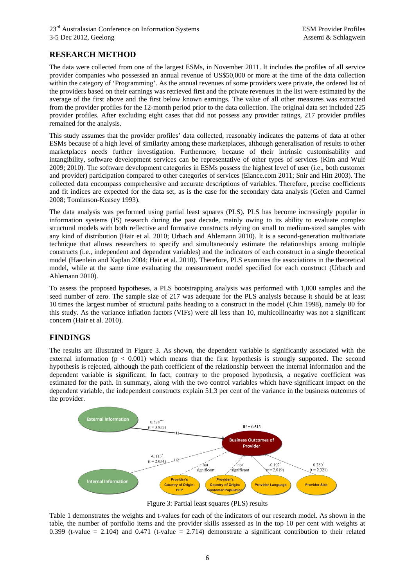# **RESEARCH METHOD**

The data were collected from one of the largest ESMs, in November 2011. It includes the profiles of all service provider companies who possessed an annual revenue of US\$50,000 or more at the time of the data collection within the category of 'Programming'. As the annual revenues of some providers were private, the ordered list of the providers based on their earnings was retrieved first and the private revenues in the list were estimated by the average of the first above and the first below known earnings. The value of all other measures was extracted from the provider profiles for the 12-month period prior to the data collection. The original data set included 225 provider profiles. After excluding eight cases that did not possess any provider ratings, 217 provider profiles remained for the analysis.

This study assumes that the provider profiles' data collected, reasonably indicates the patterns of data at other ESMs because of a high level of similarity among these marketplaces, although generalisation of results to other marketplaces needs further investigation. Furthermore, because of their intrinsic customisability and intangibility, software development services can be representative of other types of services (Kim and Wulf 2009; 2010). The software development categories in ESMs possess the highest level of user (i.e., both customer and provider) participation compared to other categories of services (Elance.com 2011; Snir and Hitt 2003). The collected data encompass comprehensive and accurate descriptions of variables. Therefore, precise coefficients and fit indices are expected for the data set, as is the case for the secondary data analysis (Gefen and Carmel 2008; Tomlinson-Keasey 1993).

The data analysis was performed using partial least squares (PLS). PLS has become increasingly popular in information systems (IS) research during the past decade, mainly owing to its ability to evaluate complex structural models with both reflective and formative constructs relying on small to medium-sized samples with any kind of distribution (Hair et al. 2010; Urbach and Ahlemann 2010). It is a second-generation multivariate technique that allows researchers to specify and simultaneously estimate the relationships among multiple constructs (i.e., independent and dependent variables) and the indicators of each construct in a single theoretical model (Haenlein and Kaplan 2004; Hair et al. 2010). Therefore, PLS examines the associations in the theoretical model, while at the same time evaluating the measurement model specified for each construct (Urbach and Ahlemann 2010).

To assess the proposed hypotheses, a PLS bootstrapping analysis was performed with 1,000 samples and the seed number of zero. The sample size of 217 was adequate for the PLS analysis because it should be at least 10 times the largest number of structural paths heading to a construct in the model (Chin 1998), namely 80 for this study. As the variance inflation factors (VIFs) were all less than 10, multicollinearity was not a significant concern (Hair et al. 2010).

## **FINDINGS**

The results are illustrated in Figure 3. As shown, the dependent variable is significantly associated with the external information ( $p < 0.001$ ) which means that the first hypothesis is strongly supported. The second hypothesis is rejected, although the path coefficient of the relationship between the internal information and the dependent variable is significant. In fact, contrary to the proposed hypothesis, a negative coefficient was estimated for the path. In summary, along with the two control variables which have significant impact on the dependent variable, the independent constructs explain 51.3 per cent of the variance in the business outcomes of the provider.



Figure 3: Partial least squares (PLS) results

Table 1 demonstrates the weights and t-values for each of the indicators of our research model. As shown in the table, the number of portfolio items and the provider skills assessed as in the top 10 per cent with weights at 0.399 (t-value = 2.104) and 0.471 (t-value = 2.714) demonstrate a significant contribution to their related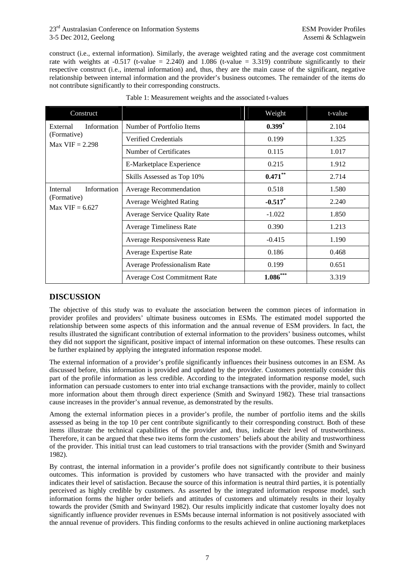construct (i.e., external information). Similarly, the average weighted rating and the average cost commitment rate with weights at  $-0.517$  (t-value = 2.240) and 1.086 (t-value = 3.319) contribute significantly to their respective construct (i.e., internal information) and, thus, they are the main cause of the significant, negative relationship between internal information and the provider's business outcomes. The remainder of the items do not contribute significantly to their corresponding constructs.

| Construct                                                   |                                     | Weight     | t-value |
|-------------------------------------------------------------|-------------------------------------|------------|---------|
| Information<br>External<br>(Formative)<br>$Max$ VIF = 2.298 | Number of Portfolio Items           | $0.399*$   | 2.104   |
|                                                             | Verified Credentials                | 0.199      | 1.325   |
|                                                             | Number of Certificates              | 0.115      | 1.017   |
|                                                             | E-Marketplace Experience            | 0.215      | 1.912   |
|                                                             | Skills Assessed as Top 10%          | $0.471***$ | 2.714   |
| Information<br>Internal<br>(Formative)<br>$Max$ VIF = 6.627 | Average Recommendation              | 0.518      | 1.580   |
|                                                             | <b>Average Weighted Rating</b>      | $-0.517$ * | 2.240   |
|                                                             | <b>Average Service Quality Rate</b> | $-1.022$   | 1.850   |
|                                                             | <b>Average Timeliness Rate</b>      | 0.390      | 1.213   |
|                                                             | Average Responsiveness Rate         | $-0.415$   | 1.190   |
|                                                             | Average Expertise Rate              | 0.186      | 0.468   |
|                                                             | Average Professionalism Rate        | 0.199      | 0.651   |
|                                                             | <b>Average Cost Commitment Rate</b> | $1.086***$ | 3.319   |

# **DISCUSSION**

The objective of this study was to evaluate the association between the common pieces of information in provider profiles and providers' ultimate business outcomes in ESMs. The estimated model supported the relationship between some aspects of this information and the annual revenue of ESM providers. In fact, the results illustrated the significant contribution of external information to the providers' business outcomes, whilst they did not support the significant, positive impact of internal information on these outcomes. These results can be further explained by applying the integrated information response model.

The external information of a provider's profile significantly influences their business outcomes in an ESM. As discussed before, this information is provided and updated by the provider. Customers potentially consider this part of the profile information as less credible. According to the integrated information response model, such information can persuade customers to enter into trial exchange transactions with the provider, mainly to collect more information about them through direct experience (Smith and Swinyard 1982). These trial transactions cause increases in the provider's annual revenue, as demonstrated by the results.

Among the external information pieces in a provider's profile, the number of portfolio items and the skills assessed as being in the top 10 per cent contribute significantly to their corresponding construct. Both of these items illustrate the technical capabilities of the provider and, thus, indicate their level of trustworthiness. Therefore, it can be argued that these two items form the customers' beliefs about the ability and trustworthiness of the provider. This initial trust can lead customers to trial transactions with the provider (Smith and Swinyard 1982).

By contrast, the internal information in a provider's profile does not significantly contribute to their business outcomes. This information is provided by customers who have transacted with the provider and mainly indicates their level of satisfaction. Because the source of this information is neutral third parties, it is potentially perceived as highly credible by customers. As asserted by the integrated information response model, such information forms the higher order beliefs and attitudes of customers and ultimately results in their loyalty towards the provider (Smith and Swinyard 1982). Our results implicitly indicate that customer loyalty does not significantly influence provider revenues in ESMs because internal information is not positively associated with the annual revenue of providers. This finding conforms to the results achieved in online auctioning marketplaces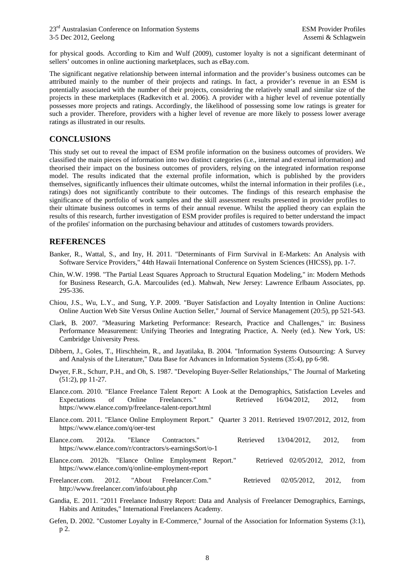for physical goods. According to Kim and Wulf (2009), customer loyalty is not a significant determinant of sellers' outcomes in online auctioning marketplaces, such as eBay.com.

The significant negative relationship between internal information and the provider's business outcomes can be attributed mainly to the number of their projects and ratings. In fact, a provider's revenue in an ESM is potentially associated with the number of their projects, considering the relatively small and similar size of the projects in these marketplaces (Radkevitch et al. 2006). A provider with a higher level of revenue potentially possesses more projects and ratings. Accordingly, the likelihood of possessing some low ratings is greater for such a provider. Therefore, providers with a higher level of revenue are more likely to possess lower average ratings as illustrated in our results.

### **CONCLUSIONS**

This study set out to reveal the impact of ESM profile information on the business outcomes of providers. We classified the main pieces of information into two distinct categories (i.e., internal and external information) and theorised their impact on the business outcomes of providers, relying on the integrated information response model. The results indicated that the external profile information, which is published by the providers themselves, significantly influences their ultimate outcomes, whilst the internal information in their profiles (i.e., ratings) does not significantly contribute to their outcomes. The findings of this research emphasise the significance of the portfolio of work samples and the skill assessment results presented in provider profiles to their ultimate business outcomes in terms of their annual revenue. Whilst the applied theory can explain the results of this research, further investigation of ESM provider profiles is required to better understand the impact of the profiles' information on the purchasing behaviour and attitudes of customers towards providers.

### **REFERENCES**

- Banker, R., Wattal, S., and Iny, H. 2011. "Determinants of Firm Survival in E-Markets: An Analysis with Software Service Providers," 44th Hawaii International Conference on System Sciences (HICSS), pp. 1-7.
- Chin, W.W. 1998. "The Partial Least Squares Approach to Structural Equation Modeling," in: Modern Methods for Business Research, G.A. Marcoulides (ed.). Mahwah, New Jersey: Lawrence Erlbaum Associates, pp. 295-336.
- Chiou, J.S., Wu, L.Y., and Sung, Y.P. 2009. "Buyer Satisfaction and Loyalty Intention in Online Auctions: Online Auction Web Site Versus Online Auction Seller," Journal of Service Management (20:5), pp 521-543.
- Clark, B. 2007. "Measuring Marketing Performance: Research, Practice and Challenges," in: Business Performance Measurement: Unifying Theories and Integrating Practice, A. Neely (ed.). New York, US: Cambridge University Press.
- Dibbern, J., Goles, T., Hirschheim, R., and Jayatilaka, B. 2004. "Information Systems Outsourcing: A Survey and Analysis of the Literature," Data Base for Advances in Information Systems (35:4), pp 6-98.
- Dwyer, F.R., Schurr, P.H., and Oh, S. 1987. "Developing Buyer-Seller Relationships," The Journal of Marketing (51:2), pp 11-27.
- Elance.com. 2010. "Elance Freelance Talent Report: A Look at the Demographics, Satisfaction Leveles and Expectations of Online Freelancers." Retrieved 16/04/2012, 2012, from Expectations of Online Freelancers." Retrieved 16/04/2012, 2012, from https://www.elance.com/p/freelance-talent-report.html
- Elance.com. 2011. "Elance Online Employment Report." Quarter 3 2011. Retrieved 19/07/2012, 2012, from https://www.elance.com/q/oer-test
- Elance.com. 2012a. "Elance Contractors." Retrieved 13/04/2012, 2012, from https://www.elance.com/r/contractors/s-earningsSort/o-1
- Elance.com. 2012b. "Elance Online Employment Report." Retrieved 02/05/2012, 2012, from https://www.elance.com/q/online-employment-report
- Freelancer.com. 2012. "About Freelancer.Com." Retrieved 02/05/2012, 2012, from http://www.freelancer.com/info/about.php
- Gandia, E. 2011. "2011 Freelance Industry Report: Data and Analysis of Freelancer Demographics, Earnings, Habits and Attitudes," International Freelancers Academy.
- Gefen, D. 2002. "Customer Loyalty in E-Commerce," Journal of the Association for Information Systems (3:1), p 2.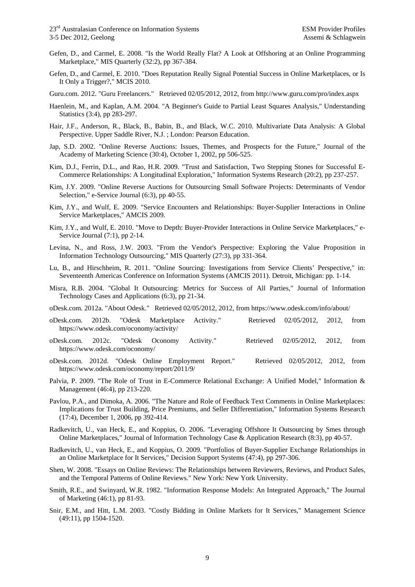- Gefen, D., and Carmel, E. 2008. "Is the World Really Flat? A Look at Offshoring at an Online Programming Marketplace," MIS Quarterly (32:2), pp 367-384.
- Gefen, D., and Carmel, E. 2010. "Does Reputation Really Signal Potential Success in Online Marketplaces, or Is It Only a Trigger?," MCIS 2010.
- Guru.com. 2012. "Guru Freelancers." Retrieved 02/05/2012, 2012, from http://www.guru.com/pro/index.aspx
- Haenlein, M., and Kaplan, A.M. 2004. "A Beginner's Guide to Partial Least Squares Analysis," Understanding Statistics (3:4), pp 283-297.
- Hair, J.F., Anderson, R., Black, B., Babin, B., and Black, W.C. 2010. Multivariate Data Analysis: A Global Perspective. Upper Saddle River, N.J. ; London: Pearson Education.
- Jap, S.D. 2002. "Online Reverse Auctions: Issues, Themes, and Prospects for the Future," Journal of the Academy of Marketing Science (30:4), October 1, 2002, pp 506-525.
- Kim, D.J., Ferrin, D.L., and Rao, H.R. 2009. "Trust and Satisfaction, Two Stepping Stones for Successful E-Commerce Relationships: A Longitudinal Exploration," Information Systems Research (20:2), pp 237-257.
- Kim, J.Y. 2009. "Online Reverse Auctions for Outsourcing Small Software Projects: Determinants of Vendor Selection," e-Service Journal (6:3), pp 40-55.
- Kim, J.Y., and Wulf, E. 2009. "Service Encounters and Relationships: Buyer-Supplier Interactions in Online Service Marketplaces," AMCIS 2009.
- Kim, J.Y., and Wulf, E. 2010. "Move to Depth: Buyer-Provider Interactions in Online Service Marketplaces," e-Service Journal (7:1), pp 2-14.
- Levina, N., and Ross, J.W. 2003. "From the Vendor's Perspective: Exploring the Value Proposition in Information Technology Outsourcing," MIS Quarterly (27:3), pp 331-364.
- Lu, B., and Hirschheim, R. 2011. "Online Sourcing: Investigations from Service Clients' Perspective," in: Seventeenth Americas Conference on Information Systems (AMCIS 2011). Detroit, Michigan: pp. 1-14.
- Misra, R.B. 2004. "Global It Outsourcing: Metrics for Success of All Parties," Journal of Information Technology Cases and Applications (6:3), pp 21-34.
- oDesk.com. 2012a. "About Odesk." Retrieved 02/05/2012, 2012, from https://www.odesk.com/info/about/
- oDesk.com. 2012b. "Odesk Marketplace Activity." Retrieved 02/05/2012, 2012, from https://www.odesk.com/oconomy/activity/
- oDesk.com. 2012c. "Odesk Oconomy Activity." Retrieved 02/05/2012, 2012, from https://www.odesk.com/oconomy/
- oDesk.com. 2012d. "Odesk Online Employment Report." Retrieved 02/05/2012, 2012, from https://www.odesk.com/oconomy/report/2011/9/
- Palvia, P. 2009. "The Role of Trust in E-Commerce Relational Exchange: A Unified Model," Information & Management (46:4), pp 213-220.
- Pavlou, P.A., and Dimoka, A. 2006. "The Nature and Role of Feedback Text Comments in Online Marketplaces: Implications for Trust Building, Price Premiums, and Seller Differentiation," Information Systems Research (17:4), December 1, 2006, pp 392-414.
- Radkevitch, U., van Heck, E., and Koppius, O. 2006. "Leveraging Offshore It Outsourcing by Smes through Online Marketplaces," Journal of Information Technology Case & Application Research (8:3), pp 40-57.
- Radkevitch, U., van Heck, E., and Koppius, O. 2009. "Portfolios of Buyer-Supplier Exchange Relationships in an Online Marketplace for It Services," Decision Support Systems (47:4), pp 297-306.
- Shen, W. 2008. "Essays on Online Reviews: The Relationships between Reviewers, Reviews, and Product Sales, and the Temporal Patterns of Online Reviews." New York: New York University.
- Smith, R.E., and Swinyard, W.R. 1982. "Information Response Models: An Integrated Approach," The Journal of Marketing (46:1), pp 81-93.
- Snir, E.M., and Hitt, L.M. 2003. "Costly Bidding in Online Markets for It Services," Management Science (49:11), pp 1504-1520.